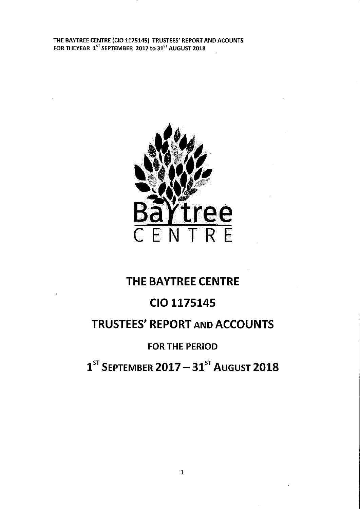

# THE BAYTREE CENTRE

# CIO 1175145

# TRUSTEES' REPORT AND ACCOUNTS

# FOR THE PERIOD

 $1^\text{ST}$  SEPTEMBER 2017 – 31 $^\text{ST}$  August 2018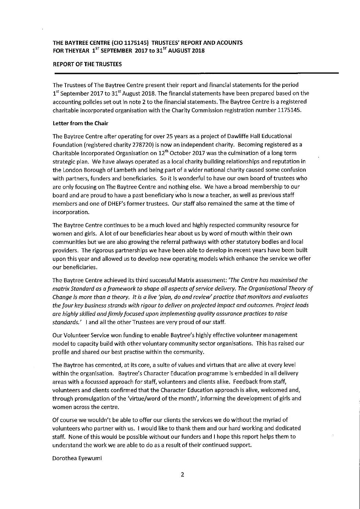## REPORT OF THE TRUSTEES

The Trustees of The Baytree Centre present their report and financial statements for the period  $1<sup>st</sup>$  September 2017 to 31<sup>st</sup> August 2018. The financial statements have been prepared based on the accounting policies set out in note 2 to the financial statements. The Baytree Centre is a registered charitable incorporated organisation with the Charity Commission registration number 1175145.

#### Letter from the Chair

The Baytree Centre after operating for over 25 years as a project of Dawliffe Hall Educational Foundation (registered charity 278720) is now an independent charity. Becoming registered as a Charitable Incorporated Organisation on  $12<sup>th</sup>$  October 2017 was the culmination of a long term strategic plan. We have always operated as a local charity building relationships and reputation in the London Borough of Lambeth and being part of a wider national charity caused some confusion with partners, funders and beneficiaries. So it is wonderful to have our own board of trustees who are only focusing on The Baytree Centre and nothing else. We have a broad membership to our board and are proud to have a past beneficiary who is now a teacher, as well as previous staff members and one of DHEF's former trustees. Our staff also remained the same at the time of incorporation.

The Baytree Centre continues to be a much loved and highly respected community resource for women and girls. A lot of our beneficiaries hear about us by word of mouth within their own communities but we are also growing the referral pathways with other statutory bodies and local providers. The rigorous partnerships we have been able to develop in recent years have been built upon this year and allowed us to develop new operating models which enhance the service we offer our beneficiaries.

The Baytree Centre achieved its third successful Matrix assessment: 'The Centre has maximised the matrix Standard as a framework to shape all aspects of service delivery. The Organisational Theory of Change ls more than a theory. It is a live 'plan, do and review' practice that monitors ond evaluates the four key business strands with rigour to deliver on projected impact and outcomes. ProJect leads are highly skilled and firmly focused upon implementing quality assurance practices to raise standards.' I and all the other Trustees are very proud of our staff

Our Volunteer Service won funding to enable Baytree's highly effective volunteer management model to capacity build with other voluntary community sector organisations. This has raised our profile and shared our best practise within the community.

The Baytree has cemented, at its core, a suite of values and virtues that are alive at every level within the organisation. Baytree's Character Education programme Is embedded in all delivery areas with a focussed approach for staff, volunteers and clients alike. Feedback from staff, volunteers and clients confirmed that the Character Education approach is alive, welcomed and, through promulgation of the 'virtue/word of the month', informing the development of girls and women across the centre.

Of course we wouldn't be able to offer our clients the services we do without the myriad of volunteers who partner with us. <sup>I</sup> would like to thank them and our hard working and dedicated staff. None of this would be possible without our funders and <sup>I</sup> hope this report helps them to understand the work we are able to do as a result of their continued support.

Dorothea Eyewumi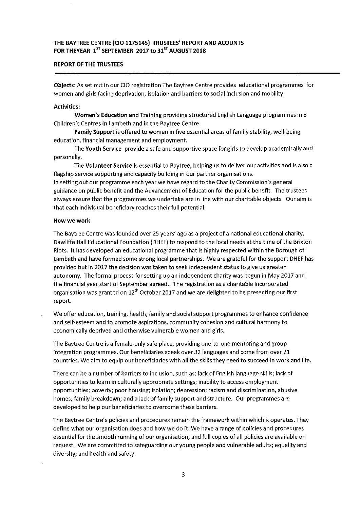## REPORT OF THE TRUSTEES

Objects: As set out in our CIO registration The Baytree Centre provides educational programmes for women and girls facing deprivation, isolation and barriers to social inclusion and mobility.

#### Activities:

Women's Education and Training providing structured English Language programmes in 8 Children's Centres in Lambeth and in the Baytree Centre

Family Support is offered to women in five essential areas of family stability, well-being, education, financial management and employment.

The Youth Service provide a safe and supportive space for girls to develop academically and personally.

The Volunteer Service Is essential to Baytree, helping us to deliver our activities and is also a flagship service supporting and capacity building in our partner organisations.

In setting out our programme each year we have regard to the Charity Commission's general guidance on public benefit and the Advancement of Education for the public benefit. The trustees always ensure that the programmes we undertake are in line with our charitable objects. Our aim is that each individual beneficiary reaches their full potential.

#### How we work

The Baytree Centre was founded over 25 years' ago as a project of a national educational charity, Dawliffe Hall Educational Foundation (DHEF) to respond to the local needs at the time of the Brixton Riots. It has developed an educational programme that is highly respected within the Borough of Lambeth and have formed some strong local partnerships. We are grateful for the support DHEF has provided but in 2017 the decision was taken to seek independent status to give us greater autonomy. The formal process for setting up an independent charity was begun in May 2017 and the financial year start of September agreed. The registration as a charitable Incorporated organisation was granted on 12<sup>th</sup> October 2017 and we are delighted to be presenting our first report.

We offer education, training, health, family and social support programmes to enhance confidence and self-esteem and to promote aspirations, community cohesion and cultural harmony to economically deprived and otherwise vulnerable women and girls.

The Baytree Centre is a female-only safe place, providing one-to-one mentoring and group integration programmes. Our beneficiaries speak over 32 languages and come from over 21 countries. We aim to equip our beneficiaries with all the skills they need to succeed in work and life.

There can be a number of barriers to inclusion, such as: lack of English language skills; lack of opportunities to learn in culturally appropriate settings; inability to access employment opportunities; poverty; poor housing; Isolation; depression; racism and discrimination, abusive homes; family breakdown; and a lack of family support and structure. Our programmes are developed to help our beneficiaries to overcome these barriers.

The Baytree Centre's policies and procedures remain the framework within which it operates. They define what our organisation does and how we do it. We have a range of policies and procedures essential for the smooth running of our organisation, and full copies of all policies are available on request. We are committed to safeguarding our young people and vulnerable adults; equality and diversity; and health and safety.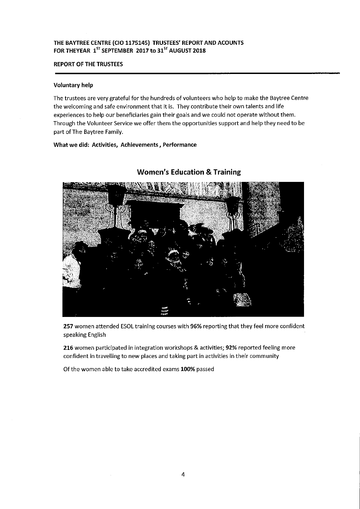## THE BAYTREE CENTRE (CIO 1175145) TRUSTEES' REPORT AND ACOUNTS FOR THEYEAR  $1^{57}$  SEPTEMBER 2017 to 31 $^{57}$  AUGUST 2018

## REPORT OF THE TRUSTEES

#### Voluntary help

The trustees are very grateful for the hundreds of volunteers who help to make the Baytree Centre the welcoming and safe environment that it is. They contribute their own talents and life experiences to help our beneficiaries gain their goals and we could not operate without them. Through the Volunteer Service we offer them the opportunities support and help they need to be part of The Baytree Family.

#### What we did: Activities, Achievements, Performance



## Women's Education & Training

257 women attended ESOL training courses with 96% reporting that they feel more confident speaking English

216 women participated in integration workshops & activities; 92% reported feeling more confident in travelling to new places and taking part in activities in their community

Of the women able to take accredited exams 100% passed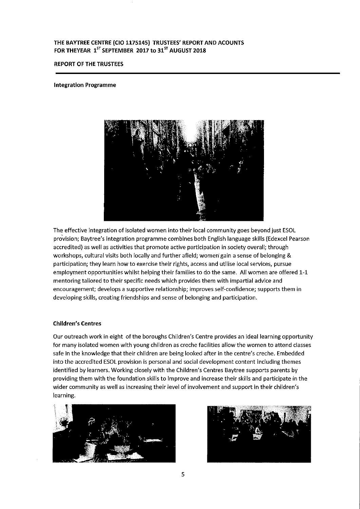## THE BAYTREE CENTRE (CIO 1175145) TRUSTEES' REPORT ANO ACOUNTS FOR THEYEAR  $1^{5T}$  SEPTEMBER 2017 to  $31^{5T}$  AUGUST 2018

## REPORT OF THE TRUSTEES

#### Integration Programme



The effective integration of isolated women into their local community goes beyond just ESOL provision; Baytree's integration programme combines both English language skills (Edexcel Pearson accredited) as well as activities that promote active participation in society overall; through workshops, cultural visits both locally and further afield; women' gain a sense of belonging & participation; they learn how to exercise their rights, access and utilise local services, pursue employment opportunities whilst helping their families to do the same. All women are offered 1-1 mentoring tailored to their specific needs which provides them with impartial advice and encouragement; develops a supportive relationship; improves self-confidence; supports them in developing skills, creating friendships and sense of belonging and participation.

#### Children's Centres

Our outreach work in eight of the boroughs Children's Centre provides an ideal learning opportunity for many isolated women with young children as creche facilities allow the women to attend classes safe in the knowledge that their children are being looked after in the centre's creche. Embedded into the accredited ESOL provision is personal and social development content including themes identified by learners. Working closely with the Children's Centres Baytree supports parents by providing them with the foundation skills to Improve and increase their skills and participate in the wider community as well as increasing their level of involvement and support in their children's learning.



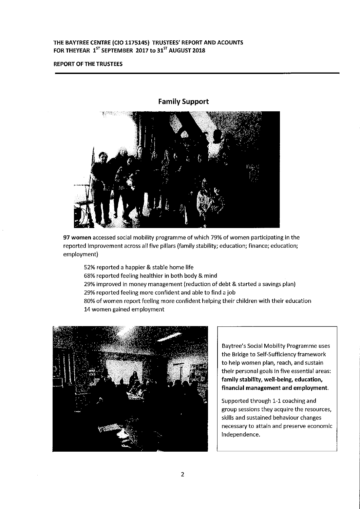## REPORT OF THE TRUSTEES



97 women accessed social mobility programme of which 79% of women participating in the reported improvement across all five pillars (family stability; education; finance; education; employment)

- 52% reported a happier & stable home life
- 68% reported feeling healthier in both body & mind
- 29% improved in money management (reduction of debt & started a savings plan)
- 29% reported feeling more confident and able to find a job

80% of women report feeling more confident helping their children with their education 14 women gained employment



Baytree's Social Mobility Programme uses the Bridge to Self-Sufficiency framework to help women plan, reach, and sustain their personal goals in five essential areas: family stability, well-being, education, financial management and employment.

Supported through 1-1 coaching and group sessions they acquire the resources, skills and sustained behaviour changes necessary to attain and preserve economic independence.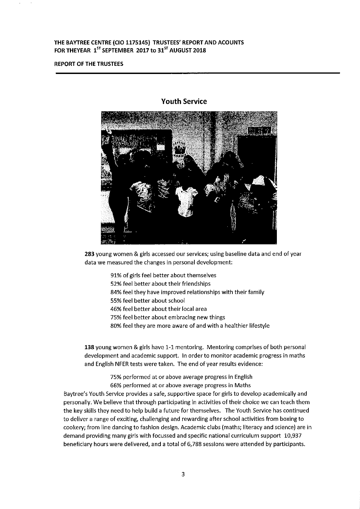#### REPORT OF THE TRUSTEES



Youth Service

283 young women & girls accessed our services; using baseline data and end of year data we measured the changes in personal development:

> 91%of girls feel better about themselves 52% feel better about their friendships 84% feel they have improved relationships with their family 55% feel better about school 46% feel better about their local area 75% feel better about embracing new things 80% feel they are more aware of and with a healthier lifestyle

138 young women & girls have 1-1 mentoring. Mentoring comprises of both personal development and academic support. In order to monitor academic progress in maths and English NFER tests were taken. The end of year results evidence:

> 75% performed at or above average progress in English 66% performed at or above average progress in Maths

Baytree's Youth Service provides a safe, supportive space for girls to develop academically and personally. We believe that through participating in activities of their choice we can teach them the key skills they need to help build a future for themselves. The Youth Service has continued to deliver a range of exciting, challenging and rewarding after school activities from boxing to cookery; from line dancing to fashion design. Academic clubs (maths; literacy and science) are in demand providing many girls with focussed and specific national curriculum support 10,937 beneficiary hours were delivered, and a total of 6,788 sessions were attended by participants.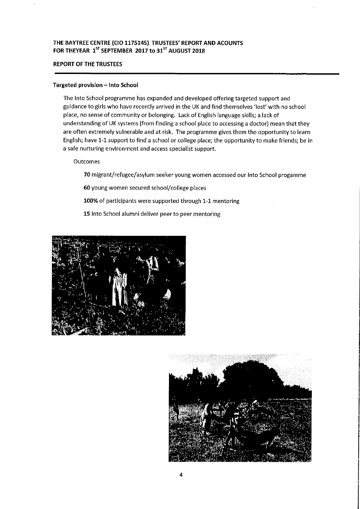## REPORT OF THE TRUSTEES

#### Targeted provision —Into School

The Into School programme has expanded and developed offering targeted support and guidance to girls who have recently arrived in the UK and find themselves 'lost' with no school place, no sense of community or belonging. Lack of English language skills; a lack of understanding of UK systems (from finding a school place to accessing a doctor) mean that they are often extremely vulnerable and at risk. The programme gives them the opportunity to learn English; have 1-1support to find a school or college place; the opportunity to make friends; be in a safe nurturing environment and access specialist support.

Outcomes

70 migrant/refugee/asylum seeker young women accessed our Into School progamme

60 young women secured school/college places

100% of participants were supported through 1-1 mentoring

15 Into School alumni deliver peer to peer mentoring



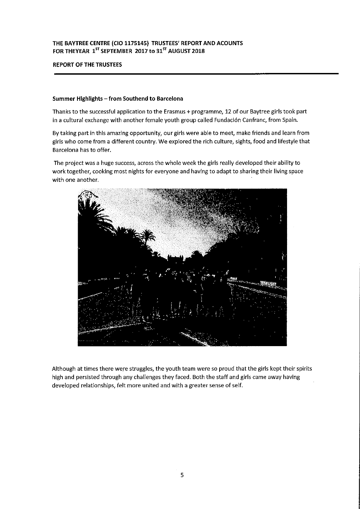## THE BAYTREE CENTRE (CIO 1175145) TRUSTEES' REPORT AND ACOUNTS FOR THEYEAR  $1^{57}$  SEPTEMBER 2017 to 31 $^{57}$  AUGUST 2018

## REPORT OF THE TRUSTEES

#### Summer Highlights - from Southend to Barcelona

Thanks to the successful application to the Erasmus+ programme, 12 of our Baytree girls took part in a cultural exchange with another female youth group called Fundacidn Canfranc, from Spain.

By taking part in this amazing opportunity, our girls were able to meet, make friends and learn from girls who come from a different country. We explored the rich culture, sights, food and lifestyle that Barcelona has to offer.

The project was a huge success, across the whole week the girls really developed their ability to work together, cooking most nights for everyone and having to adapt to sharing their living space with one another.



Although at times there were struggles, the youth team were so proud that the girls kept their spirits high and persisted through any challenges they faced. Both the staff and girls came away having developed relationships, felt more united and with a greater sense of self.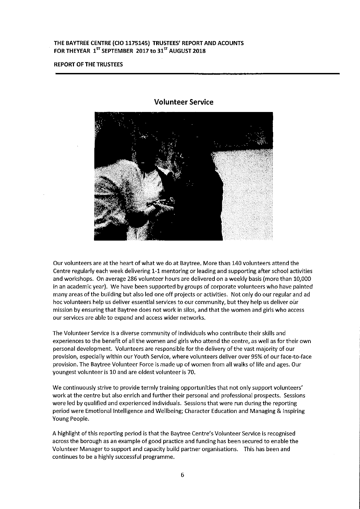#### REPORT OF THE TRUSTEES



#### Volunteer Service

Our volunteers are at the heart of what we do at Baytree. More than 140 volunteers attend the Centre regularly each week delivering 1-1 mentoring or leading and supporting after school activities and workshops. On average 286 volunteer hours are delivered on a weekly basis (more than 10,000 in an academic year). We have been supported by groups of corporate volunteers who have painted many areas of the building but also led one off projects or activities. Not only do our regular and ad hoc volunteers help us deliver essential services to our community, but they help us deliver our mission by ensuring that Baytree does not work in silos, and that the women and girls who access our services are able to expand and access wider networks.

The Volunteer Service is a diverse community of individuals who contribute their skills and experiences to the benefit of all the women and girls who attend the centre, as well as for their own personal development. Volunteers are responsible for the delivery of the vast majority of our provision, especially within our Youth Service, where volunteers deliver over 95% of our face-to-face provision. The Baytree Volunteer Force is made up of women from all walks of life and ages. Our youngest volunteer is 10 and are oldest volunteer is 70.

We continuously strive to provide termly training opportunities that not only support volunteers' work at the centre but also enrich and further their personal and professional prospects. Sessions were led by qualitied and experienced individuals. Sessions that were run during the reporting period were Emotional Intelligence and Wellbeing; Character Education and Managing & Inspiring Young People.

A highlight of this reporting period is that the Baytree Centre's Volunteer Service is recognised across the borough as an example of good practice and funding has been secured to enable the Volunteer Manager to support and capacity build partner organisations. This has been and continues to be a highly successful programme.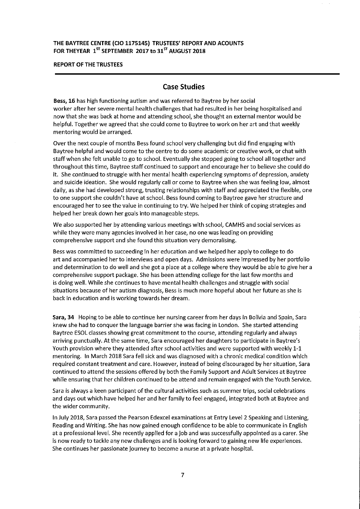## THE BAYTREE CENTRE (CIO 1175145) TRUSTEES' REPORT AND ACOUNTS FOR THEYEAR  $1^{ST}$  SEPTEMBER 2017 to 31 $^{ST}$  AUGUST 2018

#### REPORT OF THE TRUSTEES

## Case Studies

Bess, 16 has high functioning autism and was referred to Baytree by her social worker after her severe mental health challenges that had resulted in her being hospitalised and now that she was back at home and attending school, she thought an external mentor would be helpful. Together we agreed that she could come to Baytree to work on her art and that weekly mentoring would be arranged.

Over the next couple of months Bess found school very challenging but did find engaging with Baytree helpful and would come to the centre to do some academic or creative work, or chat with staff when she felt unable to go to school. Eventually she stopped going to school all together and throughout this time, Baytree staff continued to support and encourage her to believe she could do It. She continued to struggle with her mental health experiencing symptoms of depression, anxiety and suicide ideation. She would regularly call or come to Baytree when she was feeling low, almost daily, as she had developed strong, trusting relationships with staff and appreciated the flexible, one to one support she couldn't have at school. Bess found coming to Baytree gave her structure and encouraged her to see the value in continuing to try. We helped her think of coping strategies and helped her break down her goals Into manageable steps.

We also supported her by attending various meetings with school, CAMHS and social services as while they were many agencies involved in her case, no one was leading on providing comprehensive support and she found this situation very demoralising.

Bess was committed to succeeding in her education and we helped her apply to college to do art and accompanied her to interviews and open days. Admissions were Impressed by her portfolio and determination to do well and she got a place at a college where they would be able to give her a comprehensive support package. She has been attending college for the last few months and is doing well. While she continues to have mental health challenges and struggle with social situations because of her autism diagnosis, Bess is much more hopeful about her future as she is back in education and is working towards her dream.

Sara, 34 Hoping to be able to continue her nursing career from her days in Bolivia and Spain, Sara knew she had to conquer the language barrier she was facing in London. She started attending Baytree ESOL classes showing great commitment to the course, attending regularly and always arriving punctually. At the same time, Sara encouraged her daughters to participate in Baytree's Youth provision where they attended after school activities and were supported with weekly 1-1 mentoring. In March 2018 Sara fell sick and was diagnosed with a chronic medical condition which required constant treatment and care. However, instead of being discouraged by her situation, Sara continued to attend the sessions offered by both the Family Support and Adult Services at Baytree while ensuring that her children continued to be attend and remain engaged with the Youth Service.

Sara is always a keen participant of the cultural activities such as summer trips, social celebrations and days out which have helped her and her family to feel engaged, integrated both at Baytree and the wider community.

In July 2018, Sara passed the Pearson Edexcel examinations at Entry Level 2 Speaking and Listening, Reading and Writing. She has now gained enough confidence to be able to communicate in English at a professional level. She recently applied for a Job and was successfully appointed as a carer. She is now ready to tackle any new challenges and is looking forward to gaining new life experiences. She continues her passionate Journey to become a nurse at a private hospital.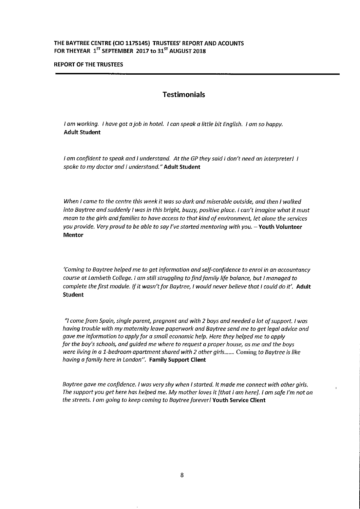## THE BAYTREE CENTRE (CIO 1175145) TRUSTEES' REPORT AND ACOUNTS FOR THEYEAR  $1^{57}$  SEPTEMBER 2017 to 31 $^{57}$  AUGUST 2018

#### REPORT OF THE TRUSTEES

## **Testimonials**

<sup>I</sup> am working. <sup>I</sup> have got <sup>a</sup>joh in hotel. <sup>I</sup> can speak <sup>a</sup> little bit English. <sup>I</sup> am so happy. Adult Student

I am confident to speak and I understand. At the GP they said I don't need an interpreterl I spoke to my doctor and I understand." Adult Student

When I came to the centre this week it was so dark and miserable outside, and then I walked into Baytree and suddenly I was in this bright, buzzy, positive place. I can't imagine what it must mean to the girls and families to have access to that kind of environment, let alone the services you provide. Very proud to be able to say I've started mentoring with you. - Youth Volunteer Mentor

'Coming to Baytree helped me to getinformation and self-confidence to enrolin an accountancy course at Lambeth College. <sup>I</sup> am still struggling to find family life balance, but <sup>I</sup> managed to complete the first module. If it wasn't for Baytree, I would never believe that I could do it'. Adult Student

"I come from Spain, single parent, pregnant and with 2 boys and needed a lot ofsupport. <sup>I</sup> was having trouble with my maternity leave paperwork and Baytree send me to get legal advice and gave me information to apply for a small economic help. Here they helped me to apply for the boy's schools, and guided me where to request a proper house, as me and the boys were living in a 1-bedroom apartment shared with 2 other girls....... Coming to Baytree is like having a family here in London". Family Support Client

Baytree gave me confidence. I was very shy when I started. It made me connect with other girls. The support you get here has helped me. My mother loves it (that I am herej. I am safe I'm not on the streets. I am going to keep coming to Baytree foreverl Youth Service Client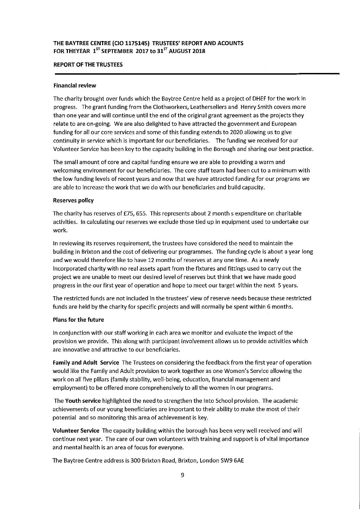## REPORT OF THE TRUSTEES

## Financial review

The charity brought over funds which the Baytree Centre held as a project of DHEF for the work in progress. The grant funding from the Clothworkers, Leathersellers and Henry Smith covers more than one year and will continue until the end of the original grant agreement as the projects they relate to are on-going. We are also delighted to have attracted the government and European funding for all our core services and some of this funding extends to 2020 allowing us to give continuity in service which is important for our beneficiaries. The funding we received for our Volunteer Service has been key to the capacity building in the Borough and sharing our best practice.

The small amount of core and capital funding ensure we are able to providing a warm and welcoming environment for our beneficiaries. The core staff team had been cut to a minimum with the low funding levels of recent years and now that we have attracted funding for our programs we are able to increase the work that we do with our beneficiaries and build capacity.

## Reserves policy

The charity has reserves of f75, 655. This represents about 2 month s expenditure on charitable activities. In calculating our reserves we exclude those tied up in equipment used to undertake our work.

In reviewing its reserves requirement, the trustees have considered the need to maintain the building in Brixton and the cost of delivering our programmes. The funding cycle is about a year long and we would therefore like to have 12 months of reserves at any one time. As a newly Incorporated charity with no real assets apart from the fixtures and fittings used to carry out the project we are unable to meet our desired level of reserves but think that we have made good progress in the our first year of operation and hope to meet our target within the next 5 years.

The restricted funds are not included in the trustees' view of reserve needs because these restricted funds are held by the charity for specific projects and will normally be spent within 6 months.

## Plans for the future

In conjunction with our staff working in each area we monitor and evaluate the impact of the provision we provide. This along with participant involvement allows us to provide activities which are innovative and attractive to our beneficiaries.

Family and Adult Service The Trustees on considering the feedback from the first year of operation would like the Family and Adult provision to work together as one Women's Service allowing the work on all five pillars (family stability, well-being, education, financial management and employment) to be offered more comprehensively to all the women in our programs.

The Youth service highlighted the need to strengthen the Into School provision. The academic achievements of our young beneficiaries are important to their ability to make the most of their potential and so monitoring this area of achievement is key.

Volunteer Service The capacity building within the borough has been very well received and will continue next year. The care of our own volunteers with training and support is of vital importance and mental health is an area of focus for everyone.

The Baytree Centre address is 300 Brixton Road, Brixton, London SW9 6AE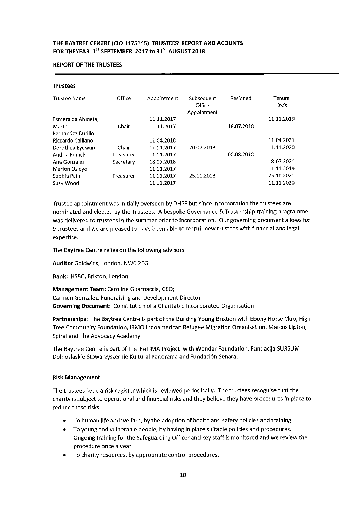#### REPORT OF THE TRUSTEES

#### Trustees

| <b>Trustee Name</b>   | Office           | Appointment | Subsequent<br>Office<br>Appointment | Resigned   | Tenure<br>Ends |
|-----------------------|------------------|-------------|-------------------------------------|------------|----------------|
| Esmeralda Ahmetaj     |                  | 11.11.2017  |                                     |            | 11.11.2019     |
| Marta                 | Chair            | 11.11.2017  |                                     | 18.07.2018 |                |
| Fernandez Burillo     |                  |             |                                     |            |                |
| Riccardo Calliano     |                  | 11.04.2018  |                                     |            | 11.04.2021     |
| Dorothea Eyewumi      | Chair            | 11.11.2017  | 20.07.2018                          |            | 11.11.2020     |
| <b>Andria Francis</b> | <b>Treasurer</b> | 11.11.2017  |                                     | 06.08.2018 |                |
| Ana Gonzalez          | Secretary        | 18.07.2018  |                                     |            | 18.07.2021     |
| Marion Osieyo         |                  | 11.11.2017  |                                     |            | 11.11.2019     |
| Sophia Pain           | <b>Treasurer</b> | 11.11.2017  | 25.10.2018                          |            | 25.10.2021     |
| Suzy Wood             |                  | 11.11.2017  |                                     |            | 11.11.2020     |

Trustee appointment was initially overseen by DHEF but since incorporation the trustees are nominated and elected by the Trustees. A bespoke Governance & Trusteeship training programme was delivered to trustees in the summer prior to incorporation. Our governing document allows for 9 trustees and we are pleased to have been able to recruit new trustees with financial and legal expertise.

The Baytree Centre relies on the following advisors

Auditor Goldwins, London, NW6 2EG

Bank: HSBC, Brixton, London

Management Team: Caroline Guarnaccia, CEO; Carmen Gonzalez, Fundraising and Development Director Governing Document: Constitution of a Charitable Incorporated Organisation

Partnerships: The Baytree Centre Is part of the Building Young Brixtion with Ebony Horse Club, High Tree Community Foundation, iRMO Indoamerican Refugee Migration Organisation, Marcus Lipton, Spiral and The Advocacy Academy.

The Baytree Centre is part of the FATIMA Project with Wonder Foundation, Fundacija SURSUM Dolnoslaskie Stowarzyszernie Kultural Panorama and Fundación Senara.

#### Risk Management

The trustees keep a risk register which is reviewed periodically. The trustees recognise that the charity is subject to operational and financial risks and they believe they have procedures in place to reduce these risks

- ~ To human life and welfare, by the adoption of health and safety policies and training
- ~ To young and vulnerable people, by having in place suitable policies and procedures. Ongoing training for the Safeguarding Officer and key staff is monitored and we review the procedure once a year
- ~ To charity resources, by appropriate control procedures.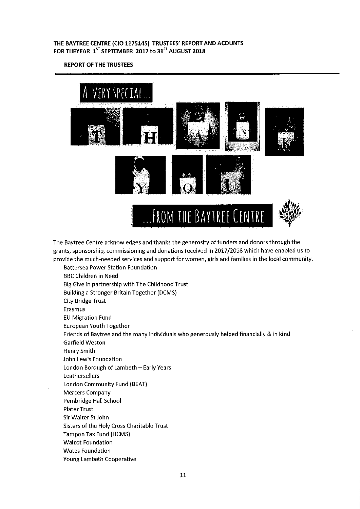REPORT OF THE TRUSTEES



The Baytree Centre acknowledges and thanks the generosity of funders and donors through the grants, sponsorship, commissioning and donations received in 2017/2018 which have enabled us to provide the much-needed services and support for women, girls and families in the localcommunity.

Battersea Power Station Foundation BBC Children in Need Big Give in partnership with The Childhood Trust Building a Stronger Britain Together (DCMS) City Bridge Trust Erasmus EU Migration Fund European Youth Together Friends of Baytree and the many individuals who generously helped financially & in kind Garfield Weston Henry Smith John Lewis Foundation London Borough of Lambeth —Early Years Leathersellers London Community Fund (BEAT) Mercers Company Pembridge Hall School Plater Trust Sir Walter St John Sisters of the Holy Cross Charitable Trust Tampon Tax Fund (DCMS) Walcot Foundation Wates Foundation Young Lambeth Cooperative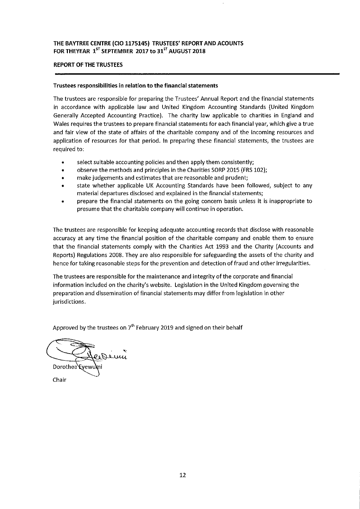## REPORT OF THE TRUSTEES

#### Trustees responsibilities in relation to the financial statements

The trustees are responsible for preparing the Trustees' Annual Report and the financial statements in accordance with applicable law and United Kingdom Accounting Standards (United Kingdom Generally Accepted Accounting Practice). The charity law applicable to charities in England and Wales requires the trustees to prepare financial statements for each financial year, which give a true and fair view of the state of affairs of the charitable company and of the incoming resources and application of resources for that period. In preparing these financial statements, the trustees are required to:

- select suitable accounting policies and then apply them consistently;
- observe the methods and principles in the Charities SORP 2015 (FRS 102);
- make judgements and estimates that are reasonable and prudent;
- state whether applicable UK Accounting Standards have been followed, subject to any material departures disclosed and explained in the financial statements;
- prepare the financial statements on the going concern basis unless it is inappropriate to presume that the charitable company will continue in operation.

The trustees are responsible for keeping adequate accounting records that disclose with reasonable accuracy at any time the financial position of the charitable company and enable them to ensure that the financial statements comply with the Charities Act 1993 and the Charity (Accounts and Reports) Regulations 2008. They are also responsible for safeguarding the assets of the charity and hence for taking reasonable steps for the prevention and detection of fraud and other irregularities.

The trustees are responsible for the maintenance and integrity of the corporate and financial information included on the charity's website. Legislation in the United Kingdom governing the preparation and dissemination of financial statements may differ from legislation in other jurisdictions.

Approved by the trustees on  $7<sup>th</sup>$  February 2019 and signed on their behalf

Dewy Dorothea Eyewu

Chair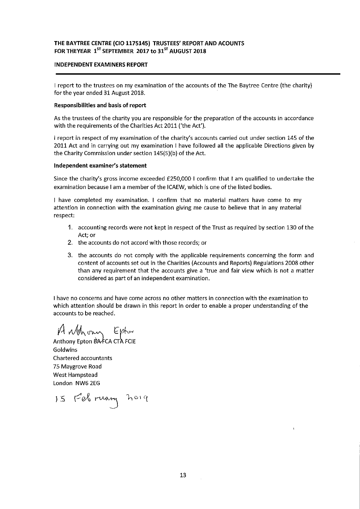## INDEPENDENT EXAMINERS REPORT

<sup>I</sup> report to the trustees on my examination of the accounts of the The Baytree Centre (the charity) for the year ended 31 August 2018.

#### Responsibilities and basis of report

As the trustees of the charity you are responsible for the preparation of the accounts in accordance with the requirements of the Charities Act 2011 ('the Act').

<sup>I</sup> report in respect of my examination of the charity's accounts carried out under section 145 of the 2011 Act and in carrying out my examination <sup>I</sup> have followed all the applicable Directions given by the Charity Commission under section 145(5)(b) of the Act.

#### Independent examiner's statement

Since the charity's gross income exceeded f250,0001 confirm that <sup>I</sup> am qualified to undertake the examination because <sup>I</sup> am a member of the ICAEW, which is one of the listed bodies.

<sup>I</sup> have completed my examination. <sup>I</sup> confirm that no material matters have come to my attention in connection with the examination giving me cause to believe that in any material respect;

- 1. accounting records were not kept in respect of the Trust as required by section 130 of the Act; or
- 2. the accounts do not accord with those records; or
- 3. the accounts do not comply with the applicable requirements concerning the form and content of accounts set out in the Charities (Accounts and Reports) Regulations 2008 other than any requirement that the accounts give a 'true and fair view which is not a matter considered as part of an independent examination.

<sup>I</sup> have no concerns and have come across no other matters in connection with the examination to which attention should be drawn in this report in order to enable a proper understanding of the accounts to be reached.

P4 Mgh ony Epton<br>Anthony Epton BAFCA CTA FCIE

Goldwins Chartered accountants 75 Maygrove Road West Hampstead London NW6 2EG

15 February holy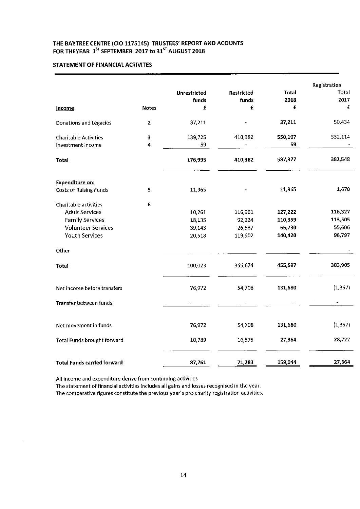## STATEMENT OF FINANCIAL ACTIVITES

|                                    |              | <b>Unrestricted</b> | <b>Restricted</b> | <b>Total</b> | Registration<br>Total |
|------------------------------------|--------------|---------------------|-------------------|--------------|-----------------------|
|                                    |              | funds<br>£          | funds<br>£        | 2018<br>£    | 2017<br>£             |
| Income                             | <b>Notes</b> |                     |                   |              |                       |
| <b>Donations and Legacies</b>      | $\mathbf 2$  | 37,211              |                   | 37,211       | 50,434                |
| <b>Charitable Activities</b>       | 3            | 139,725             | 410,382           | 550,107      | 332,114               |
| Investment Income                  | 4            | 59                  |                   | 59           |                       |
| <b>Total</b>                       |              | 176,995             | 410,382           | 587,377      | 382,548               |
| <b>Expenditure on:</b>             |              |                     |                   |              |                       |
| <b>Costs of Ralsing Funds</b>      | 5            | 11,965              |                   | 11,965       | 1,670                 |
| Charitable activities              | 6            |                     |                   |              |                       |
| <b>Adult Services</b>              |              | 10,261              | 116,961           | 127,222      | 116,327               |
| <b>Family Services</b>             |              | 18,135              | 92,224            | 110,359      | 113,505               |
| <b>Volunteer Services</b>          |              | 39,143              | 26,587            | 65,730       | 55,606                |
| <b>Youth Services</b>              |              | 20,518              | 119,902           | 140,420      | 96,797                |
| Other                              |              |                     |                   |              |                       |
| Total                              |              | 100,023             | 355,674           | 455,697      | 383,905               |
| Net income before transfers        |              | 76,972              | 54,708            | 131,680      | (1, 357)              |
| Transfer between funds             |              | $\blacksquare$      |                   |              | $\blacksquare$        |
| Net movement in funds              |              | 76,972              | 54,708            | 131,680      | (1, 357)              |
| Total Funds brought forward        |              | 10,789              | 16,575            | 27,364       | 28,722                |
| <b>Total Funds carried forward</b> |              | 87,761              | 71,283            | 159,044      | 27,364                |

All income and expenditure derive from continuing activities

The statement of financial activities includes all gains and losses recognised in the year. The comparative figures constitute the previous year's pre-charity registration activities.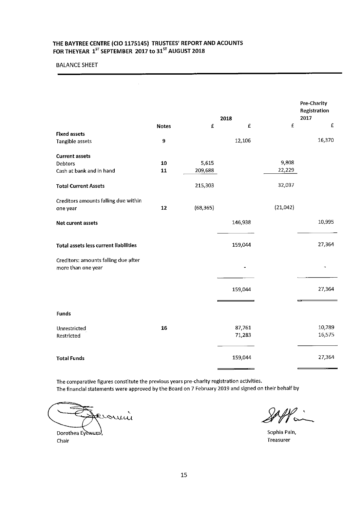## BALANCE SHEET

|                                                            | <b>Notes</b> | £         | 2018<br>$\pmb{\mathsf{E}}$ | £        | Pre-Charity<br>Registration<br>2017<br>$\pmb{\mathsf{E}}$ |
|------------------------------------------------------------|--------------|-----------|----------------------------|----------|-----------------------------------------------------------|
| <b>Fixed assets</b>                                        |              |           |                            |          |                                                           |
| Tangible assets                                            | 9            |           | 12,106                     |          | 16,370                                                    |
| <b>Current assets</b>                                      |              |           |                            |          |                                                           |
| Debtors                                                    | 10           | 5,615     |                            | 9,808    |                                                           |
| Cash at bank and in hand                                   | 11           | 209,688   |                            | 22,229   |                                                           |
| <b>Total Current Assets</b>                                |              | 215,303   |                            | 32,037   |                                                           |
| Creditors amounts falling due within                       |              |           |                            |          |                                                           |
| one year                                                   | 12           | (68, 365) |                            | (21,042) |                                                           |
| Net curent assets                                          |              |           | 146,938                    |          | 10,995                                                    |
| <b>Total assets less current liabilities</b>               |              |           | 159,044                    |          | 27,364                                                    |
| Creditors: amounts falling due after<br>more than one year |              |           |                            |          |                                                           |
|                                                            |              |           | 159,044                    |          | 27,364                                                    |
| <b>Funds</b>                                               |              |           |                            |          |                                                           |
| Unrestricted                                               | 16           |           | 87,761                     |          | 10,789                                                    |
| Restricted                                                 |              |           | 71,283                     |          | 16,575                                                    |
| <b>Total Funds</b>                                         |              |           | 159,044                    |          | 27,364                                                    |

The comparative figures constitute the previous years pre-charity registration activities. The financlal statements were approved by the Board on 7 February 2019 and signed on their behalf by

Evomin Dorothea Eyewum,

Chair

Sophia Pain, Treasurer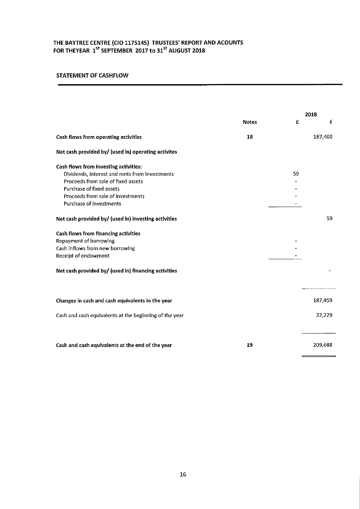## STATEMENT OF CASHFLOW

 $\mathcal{A}^{\mathcal{A}}$ 

|                                                        | <b>Notes</b> | £  | 2018<br>£ |
|--------------------------------------------------------|--------------|----|-----------|
| Cash flows from operating activities                   | 18           |    | 187,400   |
| Net cash provided by/ (used in) operating activites    |              |    |           |
| Cash flows from investing activities:                  |              |    |           |
| Dividends, interest and rents from investments         |              | 59 |           |
| Proceeds from sale of fixed assets                     |              |    |           |
| Purchase of fixed assets                               |              |    |           |
| Proceeds from sale of investments                      |              |    |           |
| <b>Purchase of investments</b>                         |              |    |           |
| Net cash provided by/ (used in) investing activities   |              |    | 59        |
| Cash flows from financing activities                   |              |    |           |
| Repayment of borrowing                                 |              |    |           |
| Cash Inflows from new borrowing                        |              |    |           |
| Recelpt of endowment                                   |              |    |           |
| Net cash provided by/ (used in) financing activities   |              |    |           |
| Changes in cash and cash equivalents in the year       |              |    | 187,459   |
|                                                        |              |    |           |
| Cash and cash equivalents at the beginning of the year |              |    | 22,229    |
| Cash and cash equivalents at the end of the year       | 19           |    | 209,688   |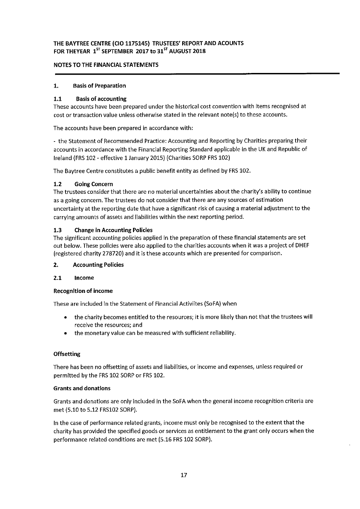## NOTES TO THE FINANCIAL STATEMENTS

## 1. Basis of Preparation

## 1.1 Basis of accounting

These accounts have been prepared under the historical cost convention with items recognised at cost or transaction value unless otherwise stated in the relevant note(s) to these accounts.

The accounts have been prepared in accordance with:

- the Statement of Recommended Practice: Accounting and Reporting by Charities preparing their accounts in accordance with the Financial Reporting Standard applicable in the UK and Republic of Ireland (FRS 102 - effective 1 January 2015) (Charities SORP <sup>F</sup>RS 102)

The Baytree Centre constitutes a public benefit entity as defined by FRS 102.

## 1.2 Going Concern

The trustees consider that there are no material uncertainties about the charity's ability to continue as a going concern. The trustees do not consider that there are any sources of estimation uncertainty at the reporting date that have a significant risk of causing a material adjustment to the carrying amounts of assets and liabilities within the next reporting period.

## 1.3 Change in Accounting Policies

The significant accounting policies applied In the preparation of these financial statements are set out below. These policies were also applied to the charities accounts when it was a project of DHEF (registered charity 278720) and it is these accounts which are presented for comparison.

#### 2. Accounting Policies

#### 2.1 Income

#### RecognItion of income

These are included In the Statement of Financial Activiites (SoFA) when

- ~ the charity becomes entitled to the resources; it is more likely than not that the trustees will receive the resources; and
- ~ the monetary value can be measured with sufficient reliability.

#### **Offsetting**

There has been no offsetting of assets and liabilities, or income and expenses, unless required or permitted by the FRS 102 SORP or FRS 102.

#### Grants and donations

Grants and donations are only included in the SoFA when the general income recognition criteria are met (5.10 to 5.12 FRS102 SORP).

In the case of performance related grants, income must only be recognised to the extent that the charity has provided the specified goods or services as entitlement to the grant only occurs when the performance related conditions are met (5.16 FRS 102 SORP).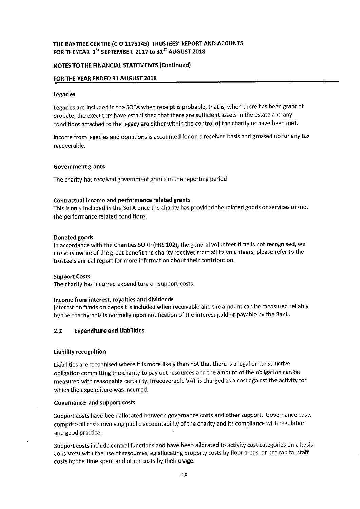## THE BAYTREE CENTRE (CIO 1175145) TRUSTEES' REPORT AND ACOUNTS FOR THEYEAR  $1^{57}$  SEPTEMBER 2017 to 31 $^{57}$  AUGUST 2018

## NOTES TO THE FINANCIAL STATEMENTS (Continued)

## FOR THE YEAR ENDED 31 AUGUST 2018

#### Legacies

Legacies are included in the SOFA when receipt is probable, that is, when there has been grant of probate, the executors have established that there are sufficient assets in the estate and any conditions attached to the legacy are either within the control of the charity or have been met.

Income from legacies and donations is accounted for on a received basis and grossed up for any tax recoverable.

#### Government grants

The charity has received government grants in the reporting period

#### Contractual income and performance related grants

This is only included in the SoFA once the charity has provided the related goods or services or met the performance related conditions.

#### Donated goods

In accordance with the Charities SORP (FRS 102), the general volunteer time is not recognised, we are very aware of the great benefit the charity receives from all its volunteers, please refer to the trustee's annual report for more Information about their contribution.

#### Support Costs

The charity has incurred expenditure on support costs.

#### Income from interest, royalties and dividends

Interest on funds on deposit is included when receivable and the amount can be measured reliably by the charity; this is normally upon notification of the interest paid or payable by the Bank.

#### 2.2 Expenditure and Liabilities

#### Liability recognition

Liabilities are recognised where It Is more likely than not that there Is a legal or constructive obligation committing the charity to pay out resources and the amount of the obligation can be measured with reasonable certainty. Irrecoverable VAT is charged as a cost against the activity for which the expenditure was incurred.

#### Governance and support costs

Support costs have been allocated between governance costs and other support. Governance costs comprise all costs involving public accountability of the charity and its compliance with regulation and good practice.

Support costs include central functions and have been allocated to activity cost categories on a basis consistent with the use of resources, eg allocating property costs by floor areas, or per capita, staff costs by the time spent and other costs by their usage.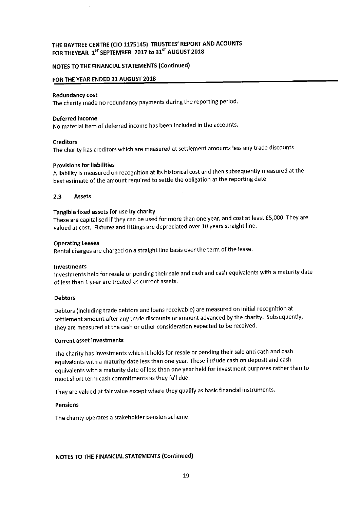## NOTES TO THE FINANCIAL STATEMENTS (Continued)

## FOR THE YEAR ENDED 31 AUGUST 2018

#### Redundancy cost

The charity made no redundancy payments during the reporting period.

#### Deferred income

No material item of deferred income has been included in the accounts.

#### **Creditors**

The charity has creditors which are measured at settlement amounts less any trade discounts

#### Provisions for liabilities

<sup>A</sup> liability is measured on recognition at its historical cost and then subsequently measured at the best estimate of the amount required to settle the obligation at the reporting date

#### 2.3 Assets

#### Tangible fixed assets for use by charity

These are capitalised if they can be used for more than one year, and cost at least E5,000. They are valued at cost. Fixtures and fittings are depreciated over 10 years straight line.

#### Operating Leases

Rental charges are charged on <sup>a</sup> straight line basis over the term of the lease,

#### Investments

Investments held for resale or pending their sale and cash and cash equivalents with <sup>a</sup> maturity date of less than 1 year are treated as current assets.

#### **Debtors**

Debtors (including trade debtors and loans receivable) are measured on initial recognition at settlement amount after any trade discounts or amount advanced by the charity. Subsequently, they are measured at the cash or other consideration expected to be received.

#### Current asset investments

The charity has investments which it holds for resale or pending their sale and cash and cash equivalents with <sup>a</sup> maturity date less than one year. These include cash on deposit and cash equivalents with <sup>a</sup> maturity date of less than one year held for investment purposes rather than to meet short term cash commitments as they fall due.

They are valued at fair value except where they qualify as basic financial instruments.

#### Pensions

The charity operates a stakeholder pension scheme.

## NOTES TO THE FINANCIAL STATEMENTS (Continued)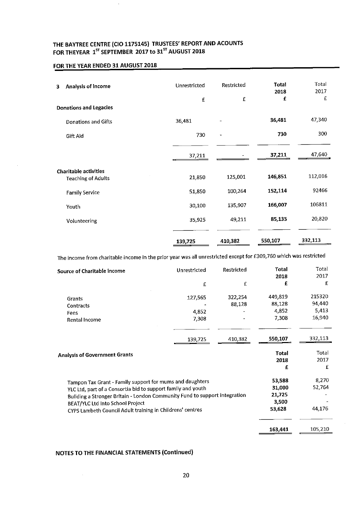## FOR THE YEAR ENDED 31 AUGUST 2018

 $\cdot$ 

| Analysis of Income<br>3                                   | Unrestricted | Restricted               | <b>Total</b><br>2018 | Total<br>2017<br>£ |
|-----------------------------------------------------------|--------------|--------------------------|----------------------|--------------------|
| <b>Donations and Legacies</b>                             | £            | $\mathbf{f}$             | £                    |                    |
| Donations and Gifts                                       | 36,481       |                          | 36,481               | 47,340             |
| Gift Ald                                                  | 730          | $\overline{\phantom{a}}$ | 730                  | 300                |
|                                                           | 37,211       |                          | 37,211               | 47,640             |
| <b>Charitable activities</b><br><b>Teaching of Adults</b> | 21,850       | 125,001                  | 146,851              | 112,016            |
| <b>Family Service</b>                                     | 51,850       | 100,264                  | 152,114              | 92466              |
| Youth                                                     | 30,100       | 135,907                  | 166,007              | 106811             |
| Volunteering                                              | 35,925       | 49,211                   | 85,135               | 20,820             |
|                                                           | 139,725      | 410,382                  | 550,107              | 332,113            |

The income from charitable income in the prior year was all unrestricted except for F309,760 which was restricted

| Source of Charitable income                                                | Unrestricted | <b>Restricted</b> | Total<br>2018 | Total<br>2017 |
|----------------------------------------------------------------------------|--------------|-------------------|---------------|---------------|
|                                                                            | £            | £                 | £             | £             |
| Grants                                                                     | 127,565      | 322,254           | 449,819       | 215320        |
| Contracts                                                                  |              | 88,128            | 88,128        | 94,440        |
| Fees                                                                       | 4,852        |                   | 4,852         | 5,413         |
| Rental Income                                                              | 7,308        |                   | 7,308         | 16,940        |
|                                                                            | 139,725      | 410,382           | 550,107       | 332,113       |
| <b>Analysis of Government Grants</b>                                       |              |                   | <b>Total</b>  | Total         |
|                                                                            |              |                   | 2018          | 2017          |
|                                                                            |              |                   | £             | £             |
| Tampon Tax Grant - Family support for mums and daughters                   |              |                   | 53,588        | 8,270         |
| YLC Ltd, part of a Consortia bid to support family and youth               |              |                   | 31,000        | 52,764        |
| Building a Stronger Britain - London Community Fund to support integration |              |                   | 21,725        |               |
| BEAT/YLC Ltd Into School Project                                           |              |                   | 3,500         |               |
| CYPS Lambeth Council Adult training in Childrens' centres                  |              |                   | 53,628        | 44,176        |
|                                                                            |              |                   |               |               |
|                                                                            |              |                   | 163,441       | 105,210       |

# NOTES TO THE FINANCIAL STATEMENTS (Continued)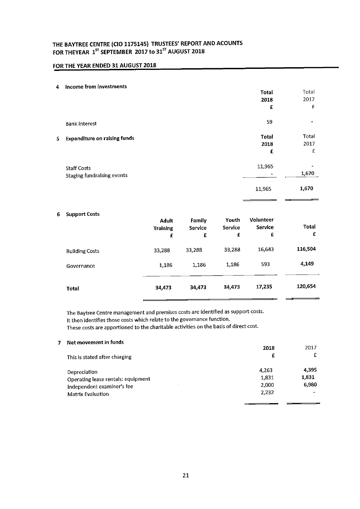# FOR THE YEAR ENDED 31 AUGUST 2018

#### 4 Income from investments

|   | <b>INCOUNT IN ANTISTICATION</b>                         | <b>Total</b><br>2018<br>£ | Total<br>2017<br>£ |
|---|---------------------------------------------------------|---------------------------|--------------------|
|   | <b>Bank interest</b>                                    | 59                        | $\blacksquare$     |
| 5 | <b>Expenditure on raising funds</b>                     | <b>Total</b><br>2018<br>£ | Total<br>2017<br>£ |
|   | <b>Staff Costs</b><br><b>Staging fundralsing events</b> | 11,965                    | 44<br>1,670        |
|   |                                                         | 11,965                    | 1,670              |

#### 6 Support Costs

|                       | Adult<br><b>Training</b><br>£ | Family<br>Service<br>£ | Youth<br>Service<br>£ | Volunteer<br><b>Service</b><br>$\sim$ $\sim$ $\sim$<br>£ | <b>Total</b><br>£ |
|-----------------------|-------------------------------|------------------------|-----------------------|----------------------------------------------------------|-------------------|
| <b>Bullding Costs</b> | 33,288                        | 33,288                 | 33,288                | 16,643                                                   | 116,504           |
| Governance            | 1,186                         | 1,186                  | 1,186                 | 593                                                      | 4,149             |
| Total                 | 34,473                        | 34,473                 | 34,473                | 17,235                                                   | 120,654           |

The Baytree Centre management and premises costs are identified as support costs.

It then identifies those costs which relate to the governance function.

These costs are apportioned to the charitable activities on the basis of direct cost.

#### 7 Net movement in funds

|                                                        | 2018  | 2017  |
|--------------------------------------------------------|-------|-------|
| This is stated after charging                          | £     |       |
| Depreclation                                           | 4.263 | 4,395 |
| Operating lease rentals: equipment                     | 1,831 | 1,831 |
| $\overline{\phantom{a}}$<br>Independent examiner's fee | 2,000 | 6,980 |
| <b>Matrix Evaluation</b>                               | 2.232 |       |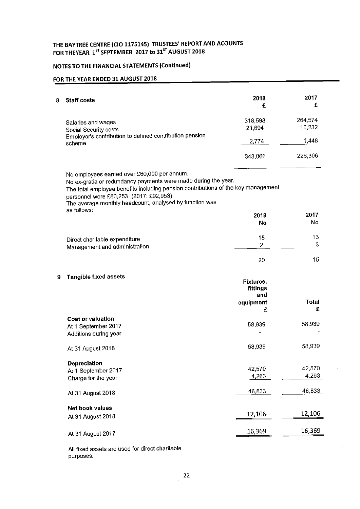# NOTES TO THE FINANCIAL STATEMENTS (Continued)

## FOR THE YEAR ENDED 31 AUGUST 2018

 $\bar{\gamma}$ 

| 8 | <b>Staff costs</b>                                                                                                                                                                                                                                                                                                     | 2018<br>£                    | 2017<br>£         |
|---|------------------------------------------------------------------------------------------------------------------------------------------------------------------------------------------------------------------------------------------------------------------------------------------------------------------------|------------------------------|-------------------|
|   | Salaries and wages<br>Social Security costs                                                                                                                                                                                                                                                                            | 318,598<br>21,694            | 264,574<br>16,232 |
|   | Employer's contribution to defined contribution pension<br>scheme                                                                                                                                                                                                                                                      | 2,774                        | 1,448             |
|   |                                                                                                                                                                                                                                                                                                                        | 343,066                      | 226,306           |
|   | No employees earned over £60,000 per annum.<br>No ex-gratia or redundancy payments were made during the year.<br>The total employee benefits including pension contributions of the key management<br>personnel were £80,253 (2017: £92,953)<br>The average monthly headcount, analysed by function was<br>as follows: |                              |                   |
|   |                                                                                                                                                                                                                                                                                                                        | 2018                         | 2017              |
|   |                                                                                                                                                                                                                                                                                                                        | No                           | No                |
|   |                                                                                                                                                                                                                                                                                                                        | 18                           | 13                |
|   | Direct charitable expenditure<br>Management and administration                                                                                                                                                                                                                                                         | $\overline{2}$               | 3                 |
|   |                                                                                                                                                                                                                                                                                                                        | 20                           | 15                |
| 9 | <b>Tangible fixed assets</b>                                                                                                                                                                                                                                                                                           | Fixtures,<br>fittings<br>and |                   |
|   |                                                                                                                                                                                                                                                                                                                        | equipment<br>£               | <b>Total</b><br>£ |
|   | <b>Cost or valuation</b><br>At 1 September 2017<br>Additions during year                                                                                                                                                                                                                                               | 58,939                       | 58,939            |
|   | At 31 August 2018                                                                                                                                                                                                                                                                                                      | 58,939                       | 58,939            |
|   | <b>Depreciation</b><br>At 1 September 2017<br>Charge for the year                                                                                                                                                                                                                                                      | 42,570<br>4,263              | 42,570<br>4,263   |
|   | At 31 August 2018                                                                                                                                                                                                                                                                                                      | 46,833                       | 46,833            |
|   | Net book values                                                                                                                                                                                                                                                                                                        |                              |                   |
|   | At 31 August 2018                                                                                                                                                                                                                                                                                                      | 12,106                       | 12,106            |
|   | At 31 August 2017                                                                                                                                                                                                                                                                                                      | 16,369                       | 16,369            |

All fixed assets are used for direct charitable purposes.

 $\hat{\mathcal{A}}$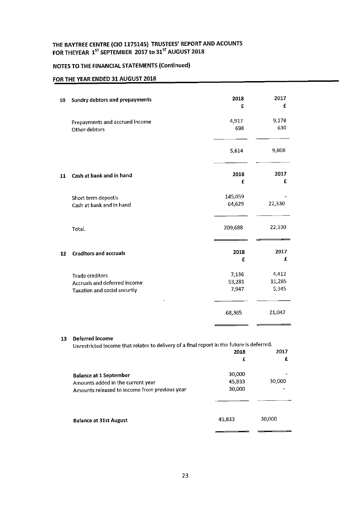## NOTES TO THE FINANCIAL STATEMENTS (Continued)

# FOR THE YEAR ENDED 31 AUGUST 2018

| 10 | <b>Sundry debtors and prepayments</b>                                                  | 2018<br>£                | 2017<br>£                |
|----|----------------------------------------------------------------------------------------|--------------------------|--------------------------|
|    | Prepayments and accrued income<br>Other debtors                                        | 4,917<br>698             | 9,178<br>630             |
|    |                                                                                        | 5,614                    | 9,808                    |
| 11 | Cash at bank and in hand                                                               | 2018<br>£                | 2017<br>£                |
|    | Short term depostis<br>Cash at bank and in hand                                        | 145,059<br>64,629        | 22,330                   |
|    | Total.                                                                                 | 209,688                  | 22,330                   |
| 12 | <b>Creditors and accruals</b>                                                          | 2018<br>£                | 2017<br>£                |
|    | <b>Trade creditors</b><br>Accruals and deferred income<br>Taxation and social securtiy | 7,136<br>53,281<br>7,947 | 4,412<br>11,285<br>5,345 |
|    |                                                                                        | 68,365                   | 21,042                   |
|    |                                                                                        |                          |                          |

#### 13 Deferred income

Unrestricted income that relates to delivery of <sup>a</sup> final report in the future is deferred.

 $\bar{\gamma}$ 

|                                                                                                                     | 2018<br>£                  | 2017   |
|---------------------------------------------------------------------------------------------------------------------|----------------------------|--------|
| <b>Balance at 1 September</b><br>Amounts added in the current year<br>Amounts released to income from previous year | 30,000<br>45,833<br>30,000 | 30,000 |
| <b>Balance at 31st August</b>                                                                                       | 45,833                     | 30,000 |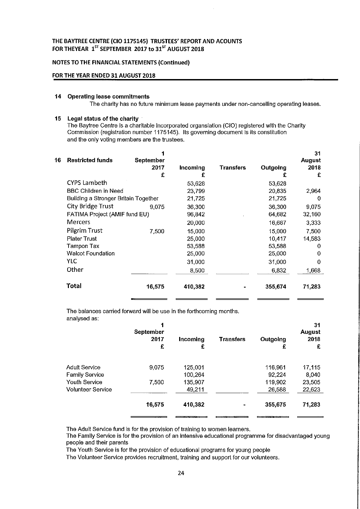## NOTES TO THE FINANCIAL STATEMENTS (Continued)

#### FOR THE YEAR ENDED 31 AUGUST 2018

#### 14 Operating lease commitments

The charity has no future minimum lease payments under non-cancelling operating leases.

#### 15 Legal status of the charity

The Baytree Centre is a charitable Incorporated organslatlon (CIO) registered with the Charity Commission (registration number 1175145). Its governing document is its constitution and the only voting members are the trustees.

| 16 | <b>Restricted funds</b>              | September |          |           |          | 31<br><b>August</b> |
|----|--------------------------------------|-----------|----------|-----------|----------|---------------------|
|    |                                      | 2017      | Incoming | Transfers | Outgoing | 2018                |
|    |                                      | £         | £        |           | £        | £                   |
|    | <b>CYPS Lambeth</b>                  |           | 53,628   |           | 53,628   |                     |
|    | <b>BBC Children in Need</b>          |           | 23,799   |           | 20,835   | 2,964               |
|    | Building a Stronger Britain Together |           | 21,725   |           | 21,725   | $\Omega$            |
|    | City Bridge Trust                    | 9.075     | 36,300   |           | 36,300   | 9.075               |
|    | FATIMA Project (AMIF fund EU)        |           | 96,842   |           | 64.682   | 32,160              |
|    | Mercers                              |           | 20,000   |           | 16,667   | 3.333               |
|    | <b>Pilgrim Trust</b>                 | 7,500     | 15,000   |           | 15,000   | 7,500               |
|    | <b>Plater Trust</b>                  |           | 25,000   |           | 10,417   | 14,583              |
|    | Tampon Tax                           |           | 53,588   |           | 53,588   | 0                   |
|    | <b>Walcot Foundation</b>             |           | 25,000   |           | 25,000   | 0                   |
|    | YLC                                  |           | 31,000   |           | 31,000   | 0                   |
|    | Other                                |           | 8,500    |           | 6,832    | 1.668               |
|    | Total                                | 16,575    | 410,382  |           | 355,674  | 71,283              |

The balances carried forward will be use in the forthcoming months. analysed as;

| $a$ , $a$ , $y$ ood ao, | September<br>2017<br>£ | Incoming<br>£ | <b>Transfers</b> | Outgoing<br>£ | 31<br><b>August</b><br>2018<br>£ |
|-------------------------|------------------------|---------------|------------------|---------------|----------------------------------|
| <b>Adult Service</b>    | 9,075                  | 125,001       |                  | 116,961       | 17,115                           |
| <b>Family Service</b>   |                        | 100.264       |                  | 92,224        | 8,040                            |
| <b>Youth Service</b>    | 7,500                  | 135,907       |                  | 119,902       | 23,505                           |
| Volunteer Service       |                        | 49,211        |                  | 26,588        | 22,623                           |
|                         | 16,575                 | 410,382       |                  | 355,675       | 71,283                           |
|                         |                        |               |                  |               |                                  |

The Adult Service fund is for the provision of training to women learners.

The Family Service is for the provision of an intensive educational programme for disadvantaged young people and their parents

The Youth Service is for the provision of educational programs for young people

The Volunteer Service provides recruitment, training and support for our volunteers.